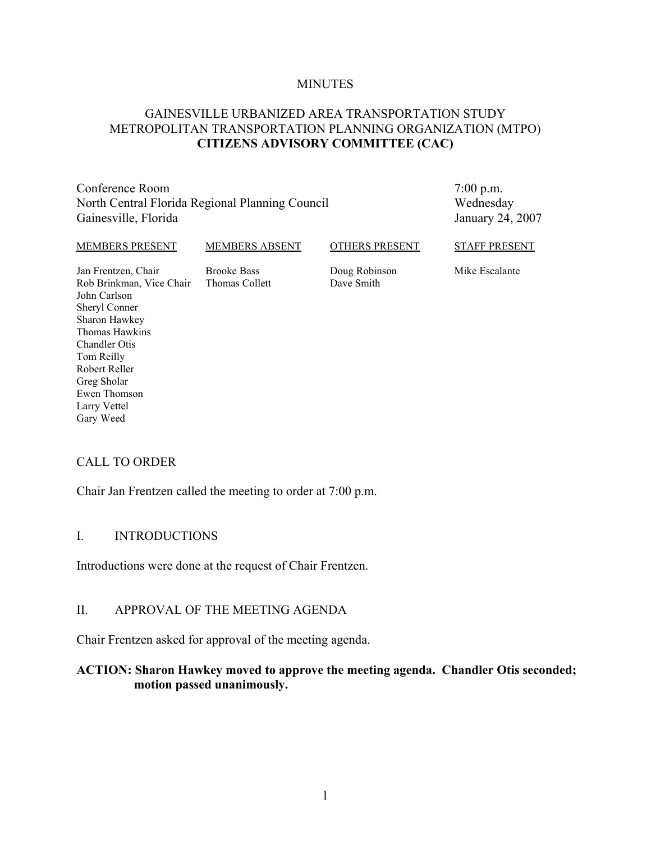#### **MINUTES**

# GAINESVILLE URBANIZED AREA TRANSPORTATION STUDY METROPOLITAN TRANSPORTATION PLANNING ORGANIZATION (MTPO) **CITIZENS ADVISORY COMMITTEE (CAC)**

Conference Room North Central Florida Regional Planning Council Gainesville, Florida

7:00 p.m. Wednesday January 24, 2007

STAFF PRESENT

#### MEMBERS PRESENT

Brooke Bass Thomas Collett

MEMBERS ABSENT

Doug Robinson Dave Smith

OTHERS PRESENT

Mike Escalante

Jan Frentzen, Chair Rob Brinkman, Vice Chair John Carlson Sheryl Conner Sharon Hawkey Thomas Hawkins Chandler Otis Tom Reilly Robert Reller Greg Sholar Ewen Thomson Larry Vettel Gary Weed

# CALL TO ORDER

Chair Jan Frentzen called the meeting to order at 7:00 p.m.

### I. INTRODUCTIONS

Introductions were done at the request of Chair Frentzen.

### II. APPROVAL OF THE MEETING AGENDA

Chair Frentzen asked for approval of the meeting agenda.

### **ACTION: Sharon Hawkey moved to approve the meeting agenda. Chandler Otis seconded; motion passed unanimously.**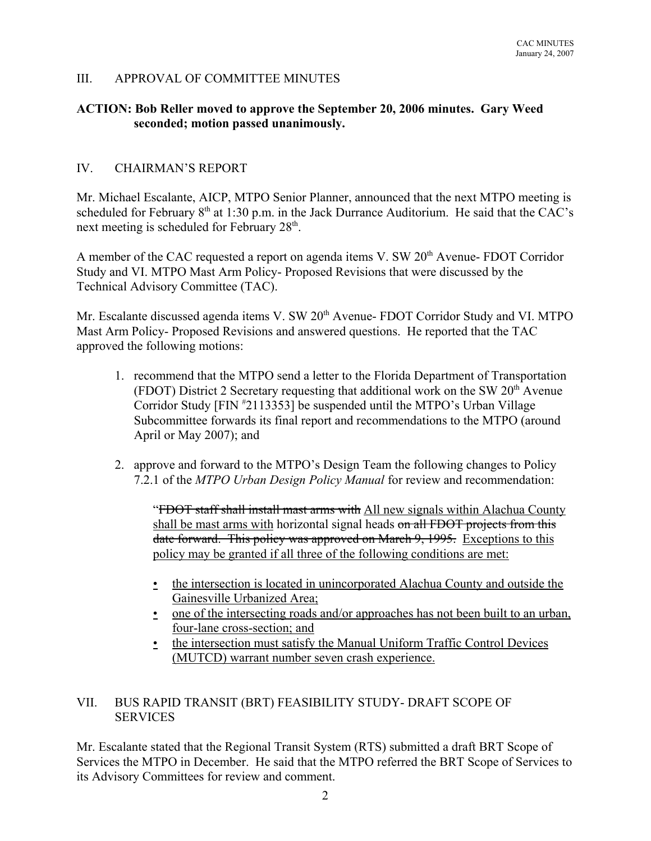# III. APPROVAL OF COMMITTEE MINUTES

### **ACTION: Bob Reller moved to approve the September 20, 2006 minutes. Gary Weed seconded; motion passed unanimously.**

### IV. CHAIRMAN'S REPORT

Mr. Michael Escalante, AICP, MTPO Senior Planner, announced that the next MTPO meeting is scheduled for February  $8<sup>th</sup>$  at 1:30 p.m. in the Jack Durrance Auditorium. He said that the CAC's next meeting is scheduled for February 28<sup>th</sup>.

A member of the CAC requested a report on agenda items V. SW  $20<sup>th</sup>$  Avenue- FDOT Corridor Study and VI. MTPO Mast Arm Policy- Proposed Revisions that were discussed by the Technical Advisory Committee (TAC).

Mr. Escalante discussed agenda items V. SW 20<sup>th</sup> Avenue- FDOT Corridor Study and VI. MTPO Mast Arm Policy- Proposed Revisions and answered questions. He reported that the TAC approved the following motions:

- 1. recommend that the MTPO send a letter to the Florida Department of Transportation (FDOT) District 2 Secretary requesting that additional work on the SW  $20<sup>th</sup>$  Avenue Corridor Study [FIN # 2113353] be suspended until the MTPO's Urban Village Subcommittee forwards its final report and recommendations to the MTPO (around April or May 2007); and
- 2. approve and forward to the MTPO's Design Team the following changes to Policy 7.2.1 of the *MTPO Urban Design Policy Manual* for review and recommendation:

"FDOT staff shall install mast arms with All new signals within Alachua County shall be mast arms with horizontal signal heads on all FDOT projects from this date forward. This policy was approved on March 9, 1995. Exceptions to this policy may be granted if all three of the following conditions are met:

- the intersection is located in unincorporated Alachua County and outside the Gainesville Urbanized Area;
- one of the intersecting roads and/or approaches has not been built to an urban, four-lane cross-section; and
- the intersection must satisfy the Manual Uniform Traffic Control Devices (MUTCD) warrant number seven crash experience.

# VII. BUS RAPID TRANSIT (BRT) FEASIBILITY STUDY- DRAFT SCOPE OF **SERVICES**

Mr. Escalante stated that the Regional Transit System (RTS) submitted a draft BRT Scope of Services the MTPO in December. He said that the MTPO referred the BRT Scope of Services to its Advisory Committees for review and comment.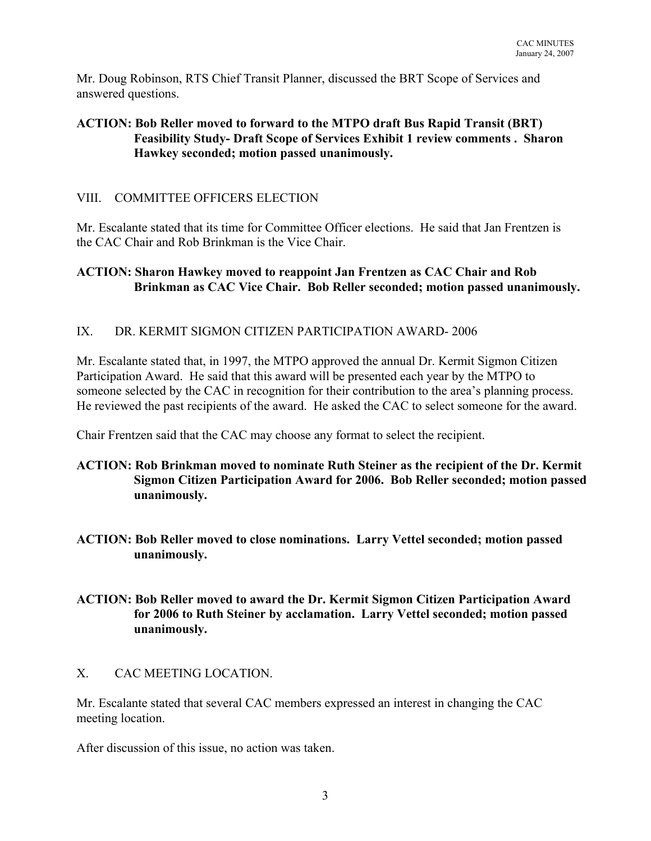Mr. Doug Robinson, RTS Chief Transit Planner, discussed the BRT Scope of Services and answered questions.

# **ACTION: Bob Reller moved to forward to the MTPO draft Bus Rapid Transit (BRT) Feasibility Study- Draft Scope of Services Exhibit 1 review comments . Sharon Hawkey seconded; motion passed unanimously.**

# VIII. COMMITTEE OFFICERS ELECTION

Mr. Escalante stated that its time for Committee Officer elections. He said that Jan Frentzen is the CAC Chair and Rob Brinkman is the Vice Chair.

# **ACTION: Sharon Hawkey moved to reappoint Jan Frentzen as CAC Chair and Rob Brinkman as CAC Vice Chair. Bob Reller seconded; motion passed unanimously.**

# IX. DR. KERMIT SIGMON CITIZEN PARTICIPATION AWARD- 2006

Mr. Escalante stated that, in 1997, the MTPO approved the annual Dr. Kermit Sigmon Citizen Participation Award. He said that this award will be presented each year by the MTPO to someone selected by the CAC in recognition for their contribution to the area's planning process. He reviewed the past recipients of the award. He asked the CAC to select someone for the award.

Chair Frentzen said that the CAC may choose any format to select the recipient.

# **ACTION: Rob Brinkman moved to nominate Ruth Steiner as the recipient of the Dr. Kermit Sigmon Citizen Participation Award for 2006. Bob Reller seconded; motion passed unanimously.**

**ACTION: Bob Reller moved to close nominations. Larry Vettel seconded; motion passed unanimously.**

# **ACTION: Bob Reller moved to award the Dr. Kermit Sigmon Citizen Participation Award for 2006 to Ruth Steiner by acclamation. Larry Vettel seconded; motion passed unanimously.**

# X. CAC MEETING LOCATION.

Mr. Escalante stated that several CAC members expressed an interest in changing the CAC meeting location.

After discussion of this issue, no action was taken.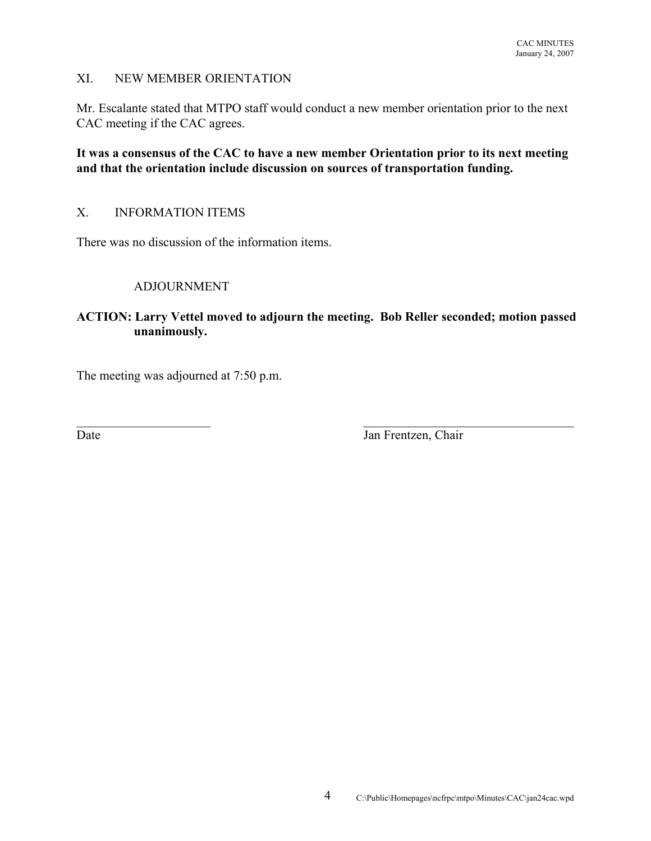# XI. NEW MEMBER ORIENTATION

Mr. Escalante stated that MTPO staff would conduct a new member orientation prior to the next CAC meeting if the CAC agrees.

**It was a consensus of the CAC to have a new member Orientation prior to its next meeting and that the orientation include discussion on sources of transportation funding.**

# X. INFORMATION ITEMS

There was no discussion of the information items.

### ADJOURNMENT

# **ACTION: Larry Vettel moved to adjourn the meeting. Bob Reller seconded; motion passed unanimously.**

 $\mathcal{L}_\text{max}$  , and the contribution of the contribution of the contribution of the contribution of the contribution of the contribution of the contribution of the contribution of the contribution of the contribution of t

The meeting was adjourned at 7:50 p.m.

Date Jan Frentzen, Chair